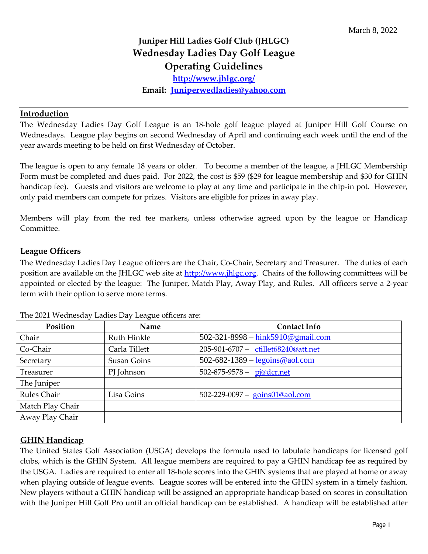# **Juniper Hill Ladies Golf Club (JHLGC) Wednesday Ladies Day Golf League Operating Guidelines**

**<http://www.jhlgc.org/>**

**Email: [Juniperwedladies@yahoo.com](mailto:Juniperwedladies@yahoo.com)**

#### **Introduction**

The Wednesday Ladies Day Golf League is an 18-hole golf league played at Juniper Hill Golf Course on Wednesdays. League play begins on second Wednesday of April and continuing each week until the end of the year awards meeting to be held on first Wednesday of October.

The league is open to any female 18 years or older. To become a member of the league, a JHLGC Membership Form must be completed and dues paid. For 2022, the cost is \$59 (\$29 for league membership and \$30 for GHIN handicap fee). Guests and visitors are welcome to play at any time and participate in the chip-in pot. However, only paid members can compete for prizes. Visitors are eligible for prizes in away play.

Members will play from the red tee markers, unless otherwise agreed upon by the league or Handicap Committee.

### **League Officers**

The Wednesday Ladies Day League officers are the Chair, Co-Chair, Secretary and Treasurer. The duties of each position are available on the JHLGC web site at [http://www.jhlgc.org.](http://www.jhlgc.org/) Chairs of the following committees will be appointed or elected by the league: The Juniper, Match Play, Away Play, and Rules. All officers serve a 2-year term with their option to serve more terms.

| Position         | Name               | <b>Contact Info</b>                                                     |
|------------------|--------------------|-------------------------------------------------------------------------|
| Chair            | Ruth Hinkle        | 502-321-8998 - $\frac{\text{hink5910}\textcircled{g}}{\text{mail.com}}$ |
| Co-Chair         | Carla Tillett      | 205-901-6707 - ctillet68240@att.net                                     |
| Secretary        | <b>Susan Goins</b> | 502-682-1389 - $legoins@aol.com$                                        |
| Treasurer        | PJ Johnson         | 502-875-9578 - pj@dcr.net                                               |
| The Juniper      |                    |                                                                         |
| Rules Chair      | Lisa Goins         | 502-229-0097 - goins01@aol.com                                          |
| Match Play Chair |                    |                                                                         |
| Away Play Chair  |                    |                                                                         |

The 2021 Wednesday Ladies Day League officers are:

### **GHIN Handicap**

The United States Golf Association (USGA) develops the formula used to tabulate handicaps for licensed golf clubs, which is the GHIN System. All league members are required to pay a GHIN handicap fee as required by the USGA. Ladies are required to enter all 18-hole scores into the GHIN systems that are played at home or away when playing outside of league events. League scores will be entered into the GHIN system in a timely fashion. New players without a GHIN handicap will be assigned an appropriate handicap based on scores in consultation with the Juniper Hill Golf Pro until an official handicap can be established. A handicap will be established after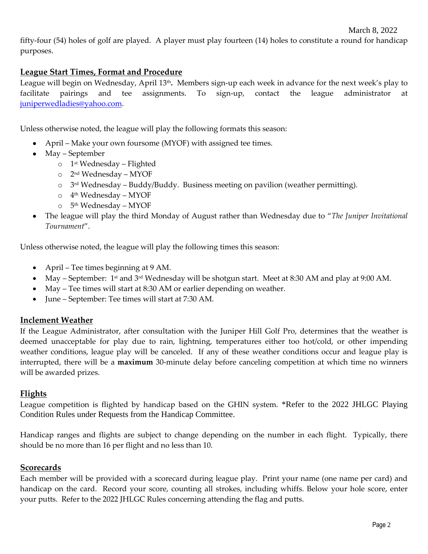fifty-four (54) holes of golf are played. A player must play fourteen (14) holes to constitute a round for handicap purposes.

### **League Start Times, Format and Procedure**

League will begin on Wednesday, April 13th **.** Members sign-up each week in advance for the next week's play to facilitate pairings and tee assignments. To sign-up, contact the league administrator at [juniperwedladies@yahoo.com.](mailto:juniperwedladies@yahoo.com)

Unless otherwise noted, the league will play the following formats this season:

- April Make your own foursome (MYOF) with assigned tee times.
- May September
	- o 1 st Wednesday Flighted
	- o 2 nd Wednesday MYOF
	- o 3 rd Wednesday Buddy/Buddy. Business meeting on pavilion (weather permitting).
	- o 4 th Wednesday MYOF
	- o 5 th Wednesday MYOF
- The league will play the third Monday of August rather than Wednesday due to "*The Juniper Invitational Tournament*".

Unless otherwise noted, the league will play the following times this season:

- April Tee times beginning at 9 AM.
- May September: 1<sup>st</sup> and 3<sup>rd</sup> Wednesday will be shotgun start. Meet at 8:30 AM and play at 9:00 AM.
- May Tee times will start at 8:30 AM or earlier depending on weather.
- June September: Tee times will start at 7:30 AM.

#### **Inclement Weather**

If the League Administrator, after consultation with the Juniper Hill Golf Pro, determines that the weather is deemed unacceptable for play due to rain, lightning, temperatures either too hot/cold, or other impending weather conditions, league play will be canceled. If any of these weather conditions occur and league play is interrupted, there will be a **maximum** 30-minute delay before canceling competition at which time no winners will be awarded prizes.

### **Flights**

League competition is flighted by handicap based on the GHIN system. \*Refer to the 2022 JHLGC Playing Condition Rules under Requests from the Handicap Committee.

Handicap ranges and flights are subject to change depending on the number in each flight. Typically, there should be no more than 16 per flight and no less than 10.

#### **Scorecards**

Each member will be provided with a scorecard during league play. Print your name (one name per card) and handicap on the card. Record your score, counting all strokes, including whiffs. Below your hole score, enter your putts. Refer to the 2022 JHLGC Rules concerning attending the flag and putts.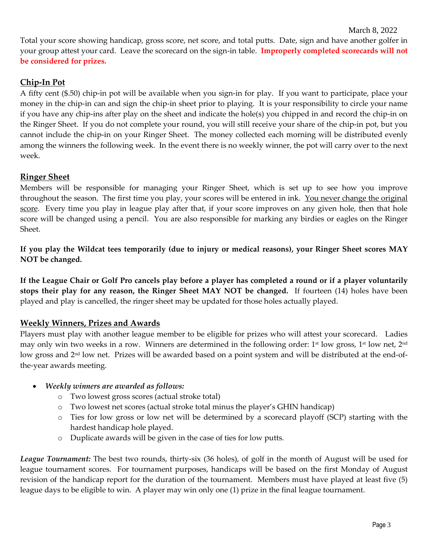Total your score showing handicap, gross score, net score, and total putts. Date, sign and have another golfer in your group attest your card. Leave the scorecard on the sign-in table. **Improperly completed scorecards will not be considered for prizes.**

# **Chip-In Pot**

A fifty cent (\$.50) chip-in pot will be available when you sign-in for play. If you want to participate, place your money in the chip-in can and sign the chip-in sheet prior to playing. It is your responsibility to circle your name if you have any chip-ins after play on the sheet and indicate the hole(s) you chipped in and record the chip-in on the Ringer Sheet. If you do not complete your round, you will still receive your share of the chip-in pot, but you cannot include the chip-in on your Ringer Sheet. The money collected each morning will be distributed evenly among the winners the following week. In the event there is no weekly winner, the pot will carry over to the next week.

### **Ringer Sheet**

Members will be responsible for managing your Ringer Sheet, which is set up to see how you improve throughout the season. The first time you play, your scores will be entered in ink. You never change the original score. Every time you play in league play after that, if your score improves on any given hole, then that hole score will be changed using a pencil. You are also responsible for marking any birdies or eagles on the Ringer Sheet.

**If you play the Wildcat tees temporarily (due to injury or medical reasons), your Ringer Sheet scores MAY NOT be changed.** 

**If the League Chair or Golf Pro cancels play before a player has completed a round or if a player voluntarily stops their play for any reason, the Ringer Sheet MAY NOT be changed.** If fourteen (14) holes have been played and play is cancelled, the ringer sheet may be updated for those holes actually played.

# **Weekly Winners, Prizes and Awards**

Players must play with another league member to be eligible for prizes who will attest your scorecard. Ladies may only win two weeks in a row. Winners are determined in the following order: 1st low gross, 1st low net, 2nd low gross and 2<sup>nd</sup> low net. Prizes will be awarded based on a point system and will be distributed at the end-ofthe-year awards meeting.

### • *Weekly winners are awarded as follows:*

- o Two lowest gross scores (actual stroke total)
- o Two lowest net scores (actual stroke total minus the player's GHIN handicap)
- o Ties for low gross or low net will be determined by a scorecard playoff (SCP) starting with the hardest handicap hole played.
- o Duplicate awards will be given in the case of ties for low putts.

*League Tournament:* The best two rounds, thirty-six (36 holes), of golf in the month of August will be used for league tournament scores. For tournament purposes, handicaps will be based on the first Monday of August revision of the handicap report for the duration of the tournament. Members must have played at least five (5) league days to be eligible to win. A player may win only one (1) prize in the final league tournament.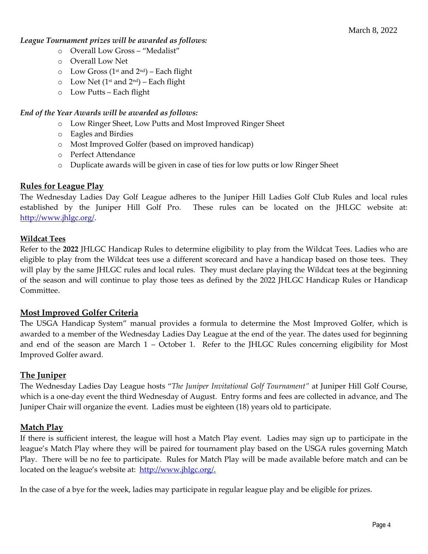#### *League Tournament prizes will be awarded as follows:*

- o Overall Low Gross "Medalist"
- o Overall Low Net
- $\circ$  Low Gross (1<sup>st</sup> and 2<sup>nd</sup>) Each flight
- $\circ$  Low Net (1<sup>st</sup> and 2<sup>nd</sup>) Each flight
- o Low Putts Each flight

### *End of the Year Awards will be awarded as follows:*

- o Low Ringer Sheet, Low Putts and Most Improved Ringer Sheet
- o Eagles and Birdies
- o Most Improved Golfer (based on improved handicap)
- o Perfect Attendance
- o Duplicate awards will be given in case of ties for low putts or low Ringer Sheet

### **Rules for League Play**

The Wednesday Ladies Day Golf League adheres to the Juniper Hill Ladies Golf Club Rules and local rules established by the Juniper Hill Golf Pro. These rules can be located on the JHLGC website at: [http://www.jhlgc.org/.](http://www.jhlgc.org/)

### **Wildcat Tees**

Refer to the **2022** JHLGC Handicap Rules to determine eligibility to play from the Wildcat Tees. Ladies who are eligible to play from the Wildcat tees use a different scorecard and have a handicap based on those tees. They will play by the same JHLGC rules and local rules. They must declare playing the Wildcat tees at the beginning of the season and will continue to play those tees as defined by the 2022 JHLGC Handicap Rules or Handicap Committee.

# **Most Improved Golfer Criteria**

The USGA Handicap System" manual provides a formula to determine the Most Improved Golfer, which is awarded to a member of the Wednesday Ladies Day League at the end of the year. The dates used for beginning and end of the season are March 1 – October 1. Refer to the JHLGC Rules concerning eligibility for Most Improved Golfer award.

# **The Juniper**

The Wednesday Ladies Day League hosts "*The Juniper Invitational Golf Tournament"* at Juniper Hill Golf Course, which is a one-day event the third Wednesday of August. Entry forms and fees are collected in advance, and The Juniper Chair will organize the event. Ladies must be eighteen (18) years old to participate.

# **Match Play**

If there is sufficient interest, the league will host a Match Play event. Ladies may sign up to participate in the league's Match Play where they will be paired for tournament play based on the USGA rules governing Match Play. There will be no fee to participate. Rules for Match Play will be made available before match and can be located on the league's website at: [http://www.jhlgc.org/.](http://www.jhlgc.org/)

In the case of a bye for the week, ladies may participate in regular league play and be eligible for prizes.